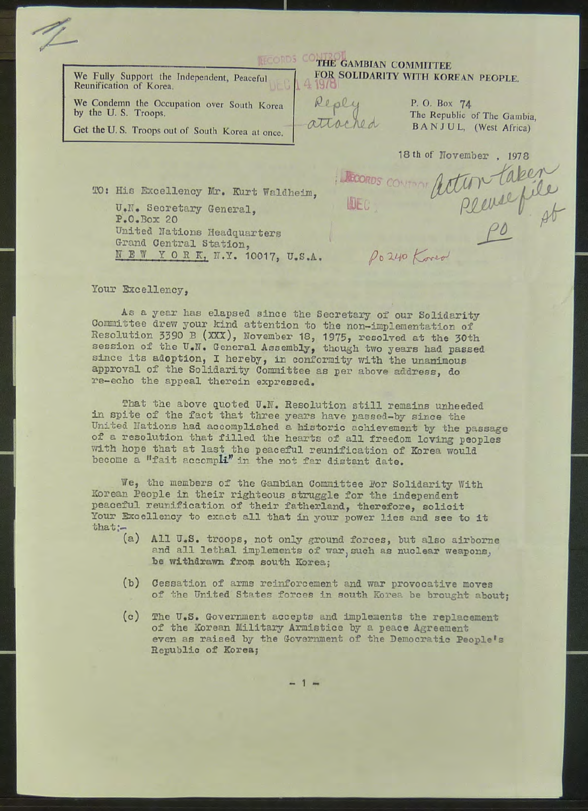We Fully Support the Independent, Peaceful Reunification of Korea.

We Condemn the Occupation over South Korea by the U.S. Troops.

Get the U.S. Troops out of South Korea at once.

## **THE GAMBIAN COMMITTEE** FOR SOLIDARITY WITH KOREAN PEOPLE.  $419/0$

Po 240 Kover

Reply attached

P. O. Box 74 The Republic of The Gambia, BANJUL, (West Africa)

18 th of November, 1978 action taken

TO: His Excellency Mr. Kurt Waldheim,

U.N. Secretary General,  $P_{\bullet}O_{\bullet}$ Box 20 United Nations Headquarters Grand Central Station, NEW YORK, N.Y. 10017, U.S.A.

Your Excellency.

As a year has elapsed since the Secretary of our Solidarity Committee drew your kind attention to the non-implementation of Resolution 3390 B (XXX), November 18, 1975, resolved at the 30th session of the U.N. General Assembly, though two years had passed since its adoption, I hereby, in conformity with the unanimous approval of the Solidarity Committee as per above address, do re-echo the appeal therein expressed.

That the above quoted U.N. Resolution still remains unheeded in spite of the fact that three years have passed-by since the United Nations had accomplished a historic achievement by the passage of a resolution that filled the hearts of all freedom loving peoples with hope that at last the peaceful reunification of Korea would become a "fait accompli" in the not far distant date.

We, the members of the Gambian Committee For Solidarity With Korean People in their righteous struggle for the independent peaceful reunification of their fatherland, therefore, solicit Your Excellency to exact all that in your power lies and see to it that:-

- $(a)$ All U.S. troops, not only ground forces, but also airborne and all lethal implements of war, such as nuclear weapons, be withdrawn from south Korea;
- (b) Cessation of arms reinforcement and war provocative moves of the United States forces in south Korea be brought about;
- (c) The U.S. Government accepts and implements the replacement of the Korean Military Armistice by a peace Agreement even as raised by the Government of the Democratic People's Republic of Korea;

 $-1 =$